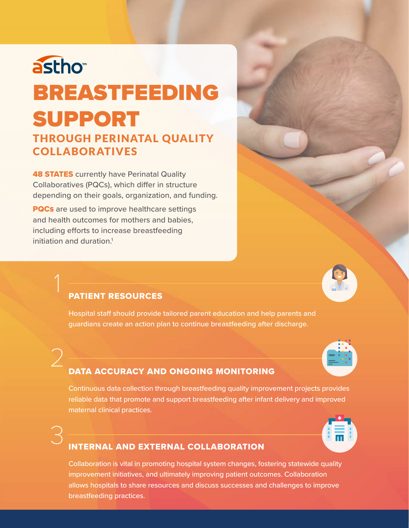# astho<sup>®</sup> BREASTFEEDING SUPPORT

### THROUGH PERINATAL QUALITY COLLABORATIVES

**48 STATES** currently have Perinatal Quality Collaboratives (PQCs), which differ in structure depending on their goals, organization, and funding.

**PQCs** are used to improve healthcare settings and health outcomes for mothers and babies, including efforts to increase breastfeeding initiation and duration.<sup>1</sup>



### PATIENT RESOURCES

Hospital staff should provide tailored parent education and help parents and guardians create an action plan to continue breastfeeding after discharge.



### DATA ACCURACY AND ONGOING MONITORING

Continuous data collection through breastfeeding quality improvement projects provides reliable data that promote and support breastfeeding after infant delivery and improved maternal clinical practices.



### **INTERNAL AND EXTERNAL COLLABORATION**

Collaboration is vital in promoting hospital system changes, fostering statewide quality improvement initiatives, and ultimately improving patient outcomes. Collaboration allows hospitals to share resources and discuss successes and challenges to improve breastfeeding practices.